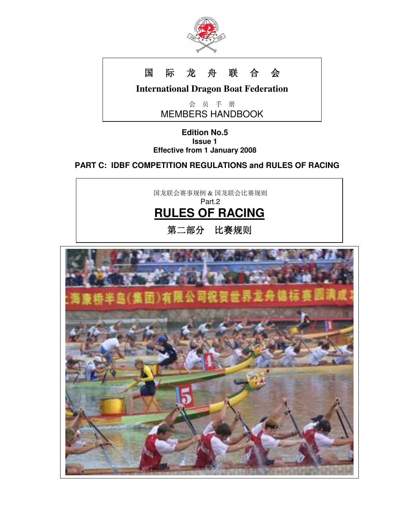

# 国 际 龙 舟 联 合 会

**International Dragon Boat Federation** 

第三版 MEMBERS HANDBOOK 会 员 手 册

### **Edition No.5 Issue 1 Effective from 1 January 2008**

# **PART C: IDBF COMPETITION REGULATIONS and RULES OF RACING**



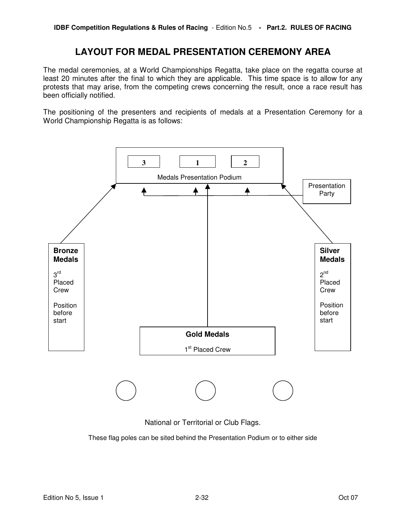# **LAYOUT FOR MEDAL PRESENTATION CEREMONY AREA**

The medal ceremonies, at a World Championships Regatta, take place on the regatta course at least 20 minutes after the final to which they are applicable. This time space is to allow for any protests that may arise, from the competing crews concerning the result, once a race result has been officially notified.

The positioning of the presenters and recipients of medals at a Presentation Ceremony for a World Championship Regatta is as follows:



National or Territorial or Club Flags.

These flag poles can be sited behind the Presentation Podium or to either side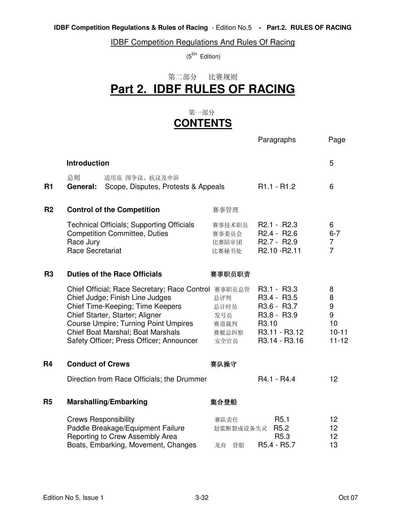IDBF Competition Regulations And Rules Of Racing

 $(5<sup>5H</sup>$  Edition)

第二部分 比赛规则

# **Part 2. IDBF RULES OF RACING**

 第一部分 **CONTENTS**

|                |                                                                                                                                                                                                                                                                                               |                                             | Paragraphs                                                                                                                         | Page                                             |
|----------------|-----------------------------------------------------------------------------------------------------------------------------------------------------------------------------------------------------------------------------------------------------------------------------------------------|---------------------------------------------|------------------------------------------------------------------------------------------------------------------------------------|--------------------------------------------------|
|                | <b>Introduction</b>                                                                                                                                                                                                                                                                           |                                             |                                                                                                                                    | 5                                                |
| R <sub>1</sub> | 总则<br>适用范 围争议、抗议及申诉<br>General:<br>Scope, Disputes, Protests & Appeals                                                                                                                                                                                                                        |                                             | R <sub>1.1</sub> - R <sub>1.2</sub>                                                                                                | 6                                                |
| R <sub>2</sub> | <b>Control of the Competition</b>                                                                                                                                                                                                                                                             | 赛事管理                                        |                                                                                                                                    |                                                  |
|                | <b>Technical Officials; Supporting Officials</b><br><b>Competition Committee, Duties</b><br>Race Jury<br>Race Secretariat                                                                                                                                                                     | 赛事技术职员<br>赛事委员会<br>比赛陪审团<br>比赛秘书处           | R <sub>2.1</sub> - R <sub>2.3</sub><br>R <sub>2.4</sub> - R <sub>2.6</sub><br>R <sub>2.7</sub> - R <sub>2.9</sub><br>R2.10 - R2.11 | 6<br>$6 - 7$<br>$\overline{7}$<br>$\overline{7}$ |
| R <sub>3</sub> | <b>Duties of the Race Officials</b>                                                                                                                                                                                                                                                           | 赛事职员职责                                      |                                                                                                                                    |                                                  |
|                | Chief Official; Race Secretary; Race Control 赛事职员总管<br>Chief Judge; Finish Line Judges<br>Chief Time-Keeping; Time Keepers<br>Chief Starter, Starter; Aligner<br><b>Course Umpire; Turning Point Umpires</b><br>Chief Boat Marshal; Boat Marshals<br>Safety Officer; Press Officer; Announcer | 总评判<br>总计时员<br>发号员<br>赛道裁判<br>赛艇总纠察<br>安全官员 | R3.1 - R3.3<br>R3.4 - R3.5<br>R3.6 - R3.7<br>R3.8 - R3.9<br>R3.10<br>R3.11 - R3.12<br>R3.14 - R3.16                                | 8<br>8<br>9<br>9<br>10<br>$10 - 11$<br>$11 - 12$ |
| R <sub>4</sub> | <b>Conduct of Crews</b>                                                                                                                                                                                                                                                                       | 赛队操守                                        |                                                                                                                                    |                                                  |
|                | Direction from Race Officials; the Drummer                                                                                                                                                                                                                                                    |                                             | R4.1 - R4.4                                                                                                                        | 12                                               |
| R <sub>5</sub> | <b>Marshalling/Embarking</b>                                                                                                                                                                                                                                                                  | 集合登船                                        |                                                                                                                                    |                                                  |
|                | <b>Crews Responsibility</b><br>Paddle Breakage/Equipment Failure<br>Reporting to Crew Assembly Area<br>Boats, Embarking, Movement, Changes                                                                                                                                                    | 赛队责任<br>划桨断裂或设备失灵 R5.2<br>登船<br>龙舟          | R <sub>5.1</sub><br>R <sub>5.3</sub><br>R5.4 - R5.7                                                                                | 12 <sub>2</sub><br>12 <sub>2</sub><br>12<br>13   |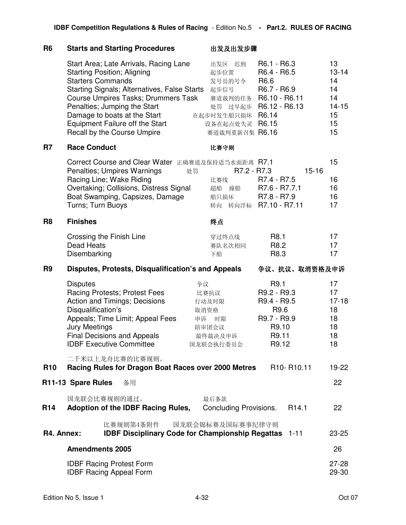| R <sub>6</sub>  | <b>Starts and Starting Procedures</b>                                                                                                                                                                                                                                                                                                    | 出发及出发步骤                                                                      |                                                                                                                       |                                                                  |
|-----------------|------------------------------------------------------------------------------------------------------------------------------------------------------------------------------------------------------------------------------------------------------------------------------------------------------------------------------------------|------------------------------------------------------------------------------|-----------------------------------------------------------------------------------------------------------------------|------------------------------------------------------------------|
|                 | Start Area; Late Arrivals, Racing Lane<br><b>Starting Position; Aligning</b><br><b>Starters Commands</b><br><b>Starting Signals; Alternatives, False Starts</b><br>Course Umpires Tasks; Drummers Task<br>Penalties; Jumping the Start<br>Damage to boats at the Start<br>Equipment Failure off the Start<br>Recall by the Course Umpire | 出发区 迟到<br>起步位置<br>发号员的号令<br>起步信号<br>在起步时发生船只损坏<br>设备在起点处失灵<br>赛道裁判重新召集 R6.16 | R6.1 - R6.3<br>R6.4 - R6.5<br>R6.6<br>R6.7 - R6.9<br>赛道裁判的任务 R6.10 - R6.11<br>处罚 过早起步 R6.12 - R6.13<br>R6.14<br>R6.15 | 13<br>$13 - 14$<br>14<br>14<br>14<br>$14 - 15$<br>15<br>15<br>15 |
| R <sub>7</sub>  | <b>Race Conduct</b>                                                                                                                                                                                                                                                                                                                      | 比赛守则                                                                         |                                                                                                                       |                                                                  |
|                 | Correct Course and Clear Water 正确赛道及保持适当水面距离 R7.1<br>Penalties; Umpires Warnings<br>处罚<br>Racing Line; Wake Riding<br>Overtaking; Collisions, Distress Signal<br>Boat Swamping, Capsizes, Damage<br>Turns; Turn Buoys                                                                                                                    | R7.2 - R7.3<br>比赛线<br>超船 撞船<br>船只损坏                                          | $15 - 16$<br>R7.4 - R7.5<br>R7.6 - R7.7.1<br>R7.8 - R7.9<br>转向 转向浮标 R7.10 - R7.11                                     | 15<br>16<br>16<br>16<br>17                                       |
| R <sub>8</sub>  | <b>Finishes</b>                                                                                                                                                                                                                                                                                                                          | 终点                                                                           |                                                                                                                       |                                                                  |
|                 | Crossing the Finish Line<br><b>Dead Heats</b><br>Disembarking                                                                                                                                                                                                                                                                            | 穿过终点线<br>赛队名次相同<br>下船                                                        | R8.1<br>R8.2<br>R8.3                                                                                                  | 17<br>17<br>17                                                   |
|                 |                                                                                                                                                                                                                                                                                                                                          |                                                                              |                                                                                                                       |                                                                  |
| R <sub>9</sub>  | Disputes, Protests, Disqualification's and Appeals                                                                                                                                                                                                                                                                                       |                                                                              | 争议、抗议、取消资格及申诉                                                                                                         |                                                                  |
|                 | <b>Disputes</b><br>Racing Protests; Protest Fees<br>Action and Timings; Decisions<br>Disqualification's<br>Appeals; Time Limit; Appeal Fees<br><b>Jury Meetings</b><br><b>Final Decisions and Appeals</b><br><b>IDBF Executive Committee</b>                                                                                             | 争议<br>比赛抗议<br>行动及时限<br>取消资格<br>申诉<br>时限<br>陪审团会议<br>最终裁决及申诉<br>国龙联会执行委员会     | R9.1<br>R9.2 - R9.3<br>R9.4 - R9.5<br>R9.6<br>R9.7 - R9.9<br>R9.10<br>R9.11<br>R9.12                                  | 17<br>17<br>$17 - 18$<br>18<br>18<br>18<br>18<br>18              |
|                 | 二千米以上龙舟比赛的比赛规则。                                                                                                                                                                                                                                                                                                                          |                                                                              |                                                                                                                       |                                                                  |
| <b>R10</b>      | Racing Rules for Dragon Boat Races over 2000 Metres                                                                                                                                                                                                                                                                                      |                                                                              | R <sub>10</sub> -R <sub>10.11</sub>                                                                                   | 19-22                                                            |
|                 | R11-13 Spare Rules<br>备用                                                                                                                                                                                                                                                                                                                 |                                                                              |                                                                                                                       | 22                                                               |
| R <sub>14</sub> | 国龙联会比赛规则的通过。<br>Adoption of the IDBF Racing Rules,                                                                                                                                                                                                                                                                                       | 最后条款<br><b>Concluding Provisions.</b>                                        | R <sub>14.1</sub>                                                                                                     | 22                                                               |
|                 | 比赛规则第4条附件<br>R4. Annex:<br><b>IDBF Disciplinary Code for Championship Regattas</b>                                                                                                                                                                                                                                                       | 国龙联会锦标赛及国际赛事纪律守则                                                             | $1 - 11$                                                                                                              | 23-25                                                            |
|                 | <b>Amendments 2005</b>                                                                                                                                                                                                                                                                                                                   |                                                                              |                                                                                                                       | 26                                                               |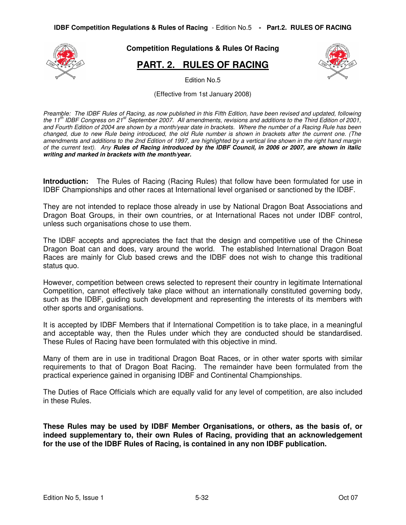

#### **Competition Regulations & Rules Of Racing**

## **PART. 2. RULES OF RACING**



Edition No.5

(Effective from 1st January 2008)

Preamble: The IDBF Rules of Racing, as now published in this Fifth Edition, have been revised and updated, following the 11<sup>th</sup> IDBF Congress on 21<sup>st</sup> September 2007. All amendments, revisions and additions to the Third Edition of 2001, and Fourth Edition of 2004 are shown by a month/year date in brackets. Where the number of a Racing Rule has been changed, due to new Rule being introduced, the old Rule number is shown in brackets after the current one. (The amendments and additions to the 2nd Edition of 1997, are highlighted by a vertical line shown in the right hand margin of the current text). Any **Rules of Racing introduced by the IDBF Council, in 2006 or 2007, are shown in italic writing and marked in brackets with the month/year.**

**Introduction:** The Rules of Racing (Racing Rules) that follow have been formulated for use in IDBF Championships and other races at International level organised or sanctioned by the IDBF.

They are not intended to replace those already in use by National Dragon Boat Associations and Dragon Boat Groups, in their own countries, or at International Races not under IDBF control, unless such organisations chose to use them.

The IDBF accepts and appreciates the fact that the design and competitive use of the Chinese Dragon Boat can and does, vary around the world. The established International Dragon Boat Races are mainly for Club based crews and the IDBF does not wish to change this traditional status quo.

However, competition between crews selected to represent their country in legitimate International Competition, cannot effectively take place without an internationally constituted governing body, such as the IDBF, guiding such development and representing the interests of its members with other sports and organisations.

It is accepted by IDBF Members that if International Competition is to take place, in a meaningful and acceptable way, then the Rules under which they are conducted should be standardised. These Rules of Racing have been formulated with this objective in mind.

Many of them are in use in traditional Dragon Boat Races, or in other water sports with similar requirements to that of Dragon Boat Racing. The remainder have been formulated from the practical experience gained in organising IDBF and Continental Championships.

The Duties of Race Officials which are equally valid for any level of competition, are also included in these Rules.

**These Rules may be used by IDBF Member Organisations, or others, as the basis of, or indeed supplementary to, their own Rules of Racing, providing that an acknowledgement for the use of the IDBF Rules of Racing, is contained in any non IDBF publication.**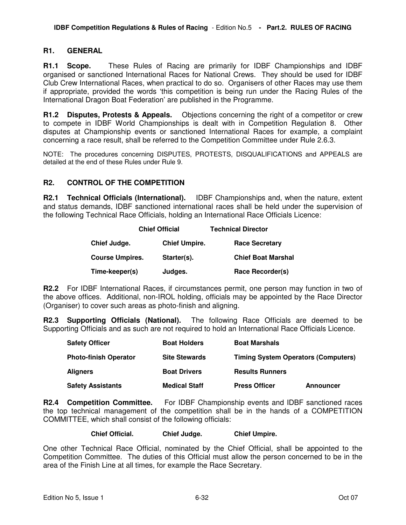### **R1. GENERAL**

**R1.1 Scope.** These Rules of Racing are primarily for IDBF Championships and IDBF organised or sanctioned International Races for National Crews. They should be used for IDBF Club Crew International Races, when practical to do so. Organisers of other Races may use them if appropriate, provided the words 'this competition is being run under the Racing Rules of the International Dragon Boat Federation' are published in the Programme.

**R1.2 Disputes, Protests & Appeals.** Objections concerning the right of a competitor or crew to compete in IDBF World Championships is dealt with in Competition Regulation 8. Other disputes at Championship events or sanctioned International Races for example, a complaint concerning a race result, shall be referred to the Competition Committee under Rule 2.6.3.

NOTE: The procedures concerning DISPUTES, PROTESTS, DISQUALIFICATIONS and APPEALS are detailed at the end of these Rules under Rule 9.

#### **R2. CONTROL OF THE COMPETITION**

**R2.1 Technical Officials (International).** IDBF Championships and, when the nature, extent and status demands, IDBF sanctioned international races shall be held under the supervision of the following Technical Race Officials, holding an International Race Officials Licence:

|                        | <b>Chief Official</b> |  | <b>Technical Director</b> |
|------------------------|-----------------------|--|---------------------------|
| Chief Judge.           | <b>Chief Umpire.</b>  |  | <b>Race Secretary</b>     |
| <b>Course Umpires.</b> | Starter(s).           |  | <b>Chief Boat Marshal</b> |
| Time-keeper(s)         | Judges.               |  | Race Recorder(s)          |

**R2.2** For IDBF International Races, if circumstances permit, one person may function in two of the above offices. Additional, non-IROL holding, officials may be appointed by the Race Director (Organiser) to cover such areas as photo-finish and aligning.

**R2.3 Supporting Officials (National).** The following Race Officials are deemed to be Supporting Officials and as such are not required to hold an International Race Officials Licence.

| <b>Safety Officer</b>        | <b>Boat Holders</b>  | <b>Boat Marshals</b>   |                                            |
|------------------------------|----------------------|------------------------|--------------------------------------------|
| <b>Photo-finish Operator</b> | <b>Site Stewards</b> |                        | <b>Timing System Operators (Computers)</b> |
| Aligners                     | <b>Boat Drivers</b>  | <b>Results Runners</b> |                                            |
| <b>Safety Assistants</b>     | <b>Medical Staff</b> | <b>Press Officer</b>   | <b>Announcer</b>                           |

**R2.4 Competition Committee.** For IDBF Championship events and IDBF sanctioned races the top technical management of the competition shall be in the hands of a COMPETITION COMMITTEE, which shall consist of the following officials:

#### **Chief Official. Chief Judge. Chief Umpire.**

One other Technical Race Official, nominated by the Chief Official, shall be appointed to the Competition Committee. The duties of this Official must allow the person concerned to be in the area of the Finish Line at all times, for example the Race Secretary.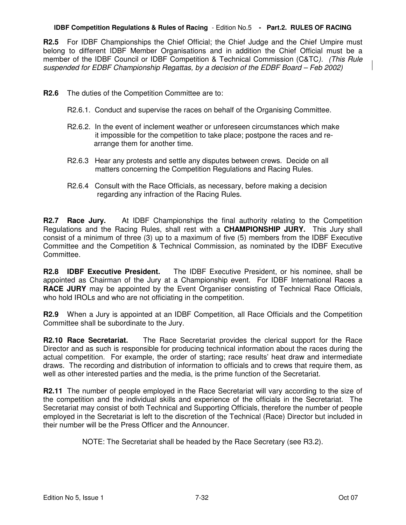#### **IDBF Competition Regulations & Rules of Racing** - Edition No.5 **- Part.2. RULES OF RACING**

**R2.5** For IDBF Championships the Chief Official; the Chief Judge and the Chief Umpire must belong to different IDBF Member Organisations and in addition the Chief Official must be a member of the IDBF Council or IDBF Competition & Technical Commission (C&TC). (This Rule suspended for EDBF Championship Regattas, by a decision of the EDBF Board – Feb 2002)

- **R2.6** The duties of the Competition Committee are to:
	- R2.6.1. Conduct and supervise the races on behalf of the Organising Committee.
	- R2.6.2. In the event of inclement weather or unforeseen circumstances which make it impossible for the competition to take place; postpone the races and re arrange them for another time.
	- R2.6.3 Hear any protests and settle any disputes between crews. Decide on all matters concerning the Competition Regulations and Racing Rules.
	- R2.6.4 Consult with the Race Officials, as necessary, before making a decision regarding any infraction of the Racing Rules.

**R2.7 Race Jury.** At IDBF Championships the final authority relating to the Competition Regulations and the Racing Rules, shall rest with a **CHAMPIONSHIP JURY.** This Jury shall consist of a minimum of three (3) up to a maximum of five (5) members from the IDBF Executive Committee and the Competition & Technical Commission, as nominated by the IDBF Executive Committee.

**R2.8 IDBF Executive President.** The IDBF Executive President, or his nominee, shall be appointed as Chairman of the Jury at a Championship event. For IDBF International Races a **RACE JURY** may be appointed by the Event Organiser consisting of Technical Race Officials, who hold IROLs and who are not officiating in the competition.

**R2.9** When a Jury is appointed at an IDBF Competition, all Race Officials and the Competition Committee shall be subordinate to the Jury.

**R2.10 Race Secretariat.** The Race Secretariat provides the clerical support for the Race Director and as such is responsible for producing technical information about the races during the actual competition. For example, the order of starting; race results' heat draw and intermediate draws. The recording and distribution of information to officials and to crews that require them, as well as other interested parties and the media, is the prime function of the Secretariat.

**R2.11** The number of people employed in the Race Secretariat will vary according to the size of the competition and the individual skills and experience of the officials in the Secretariat. The Secretariat may consist of both Technical and Supporting Officials, therefore the number of people employed in the Secretariat is left to the discretion of the Technical (Race) Director but included in their number will be the Press Officer and the Announcer.

NOTE: The Secretariat shall be headed by the Race Secretary (see R3.2).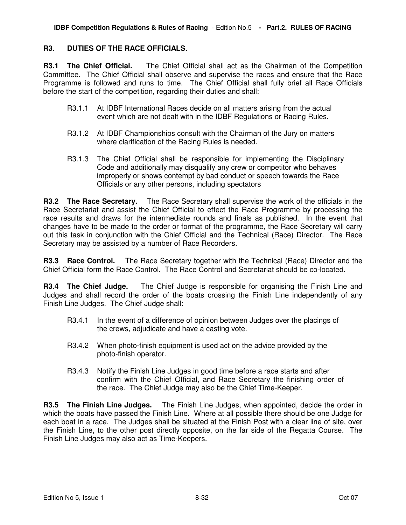### **R3. DUTIES OF THE RACE OFFICIALS.**

**R3.1 The Chief Official.** The Chief Official shall act as the Chairman of the Competition Committee. The Chief Official shall observe and supervise the races and ensure that the Race Programme is followed and runs to time. The Chief Official shall fully brief all Race Officials before the start of the competition, regarding their duties and shall:

- R3.1.1 At IDBF International Races decide on all matters arising from the actual event which are not dealt with in the IDBF Regulations or Racing Rules.
- R3.1.2 At IDBF Championships consult with the Chairman of the Jury on matters where clarification of the Racing Rules is needed.
- R3.1.3 The Chief Official shall be responsible for implementing the Disciplinary Code and additionally may disqualify any crew or competitor who behaves improperly or shows contempt by bad conduct or speech towards the Race Officials or any other persons, including spectators

**R3.2 The Race Secretary.** The Race Secretary shall supervise the work of the officials in the Race Secretariat and assist the Chief Official to effect the Race Programme by processing the race results and draws for the intermediate rounds and finals as published. In the event that changes have to be made to the order or format of the programme, the Race Secretary will carry out this task in conjunction with the Chief Official and the Technical (Race) Director. The Race Secretary may be assisted by a number of Race Recorders.

**R3.3 Race Control.** The Race Secretary together with the Technical (Race) Director and the Chief Official form the Race Control. The Race Control and Secretariat should be co-located.

**R3.4 The Chief Judge.** The Chief Judge is responsible for organising the Finish Line and Judges and shall record the order of the boats crossing the Finish Line independently of any Finish Line Judges. The Chief Judge shall:

- R3.4.1 In the event of a difference of opinion between Judges over the placings of the crews, adjudicate and have a casting vote.
- R3.4.2 When photo-finish equipment is used act on the advice provided by the photo-finish operator.
- R3.4.3 Notify the Finish Line Judges in good time before a race starts and after confirm with the Chief Official, and Race Secretary the finishing order of the race. The Chief Judge may also be the Chief Time-Keeper.

**R3.5 The Finish Line Judges.** The Finish Line Judges, when appointed, decide the order in which the boats have passed the Finish Line. Where at all possible there should be one Judge for each boat in a race. The Judges shall be situated at the Finish Post with a clear line of site, over the Finish Line, to the other post directly opposite, on the far side of the Regatta Course. The Finish Line Judges may also act as Time-Keepers.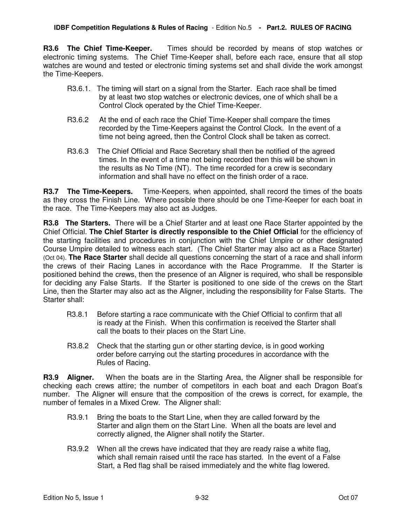**R3.6 The Chief Time-Keeper.** Times should be recorded by means of stop watches or electronic timing systems. The Chief Time-Keeper shall, before each race, ensure that all stop watches are wound and tested or electronic timing systems set and shall divide the work amongst the Time-Keepers.

- R3.6.1. The timing will start on a signal from the Starter. Each race shall be timed by at least two stop watches or electronic devices, one of which shall be a Control Clock operated by the Chief Time-Keeper.
- R3.6.2 At the end of each race the Chief Time-Keeper shall compare the times recorded by the Time-Keepers against the Control Clock. In the event of a time not being agreed, then the Control Clock shall be taken as correct.
- R3.6.3 The Chief Official and Race Secretary shall then be notified of the agreed times. In the event of a time not being recorded then this will be shown in the results as No Time (NT). The time recorded for a crew is secondary information and shall have no effect on the finish order of a race.

**R3.7 The Time-Keepers.** Time-Keepers, when appointed, shall record the times of the boats as they cross the Finish Line. Where possible there should be one Time-Keeper for each boat in the race. The Time-Keepers may also act as Judges.

**R3.8 The Starters.** There will be a Chief Starter and at least one Race Starter appointed by the Chief Official. **The Chief Starter is directly responsible to the Chief Official** for the efficiency of the starting facilities and procedures in conjunction with the Chief Umpire or other designated Course Umpire detailed to witness each start. (The Chief Starter may also act as a Race Starter) (Oct 04). **The Race Starter** shall decide all questions concerning the start of a race and shall inform the crews of their Racing Lanes in accordance with the Race Programme. If the Starter is positioned behind the crews, then the presence of an Aligner is required, who shall be responsible for deciding any False Starts. If the Starter is positioned to one side of the crews on the Start Line, then the Starter may also act as the Aligner, including the responsibility for False Starts. The Starter shall:

- R3.8.1 Before starting a race communicate with the Chief Official to confirm that all is ready at the Finish. When this confirmation is received the Starter shall call the boats to their places on the Start Line.
- R3.8.2 Check that the starting gun or other starting device, is in good working order before carrying out the starting procedures in accordance with the Rules of Racing.

**R3.9 Aligner.** When the boats are in the Starting Area, the Aligner shall be responsible for checking each crews attire; the number of competitors in each boat and each Dragon Boat's number. The Aligner will ensure that the composition of the crews is correct, for example, the number of females in a Mixed Crew. The Aligner shall:

- R3.9.1 Bring the boats to the Start Line, when they are called forward by the Starter and align them on the Start Line. When all the boats are level and correctly aligned, the Aligner shall notify the Starter.
- R3.9.2 When all the crews have indicated that they are ready raise a white flag, which shall remain raised until the race has started. In the event of a False Start, a Red flag shall be raised immediately and the white flag lowered.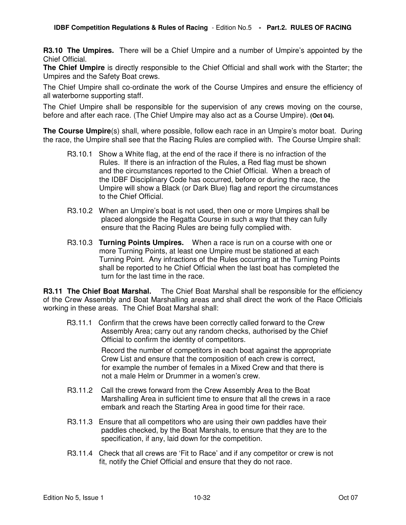**R3.10 The Umpires.** There will be a Chief Umpire and a number of Umpire's appointed by the Chief Official.

**The Chief Umpire** is directly responsible to the Chief Official and shall work with the Starter; the Umpires and the Safety Boat crews.

The Chief Umpire shall co-ordinate the work of the Course Umpires and ensure the efficiency of all waterborne supporting staff.

The Chief Umpire shall be responsible for the supervision of any crews moving on the course, before and after each race. (The Chief Umpire may also act as a Course Umpire). **(Oct 04).** 

**The Course Umpire**(s) shall, where possible, follow each race in an Umpire's motor boat. During the race, the Umpire shall see that the Racing Rules are complied with. The Course Umpire shall:

- R3.10.1 Show a White flag, at the end of the race if there is no infraction of the Rules. If there is an infraction of the Rules, a Red flag must be shown and the circumstances reported to the Chief Official. When a breach of the IDBF Disciplinary Code has occurred, before or during the race, the Umpire will show a Black (or Dark Blue) flag and report the circumstances to the Chief Official.
- R3.10.2 When an Umpire's boat is not used, then one or more Umpires shall be placed alongside the Regatta Course in such a way that they can fully ensure that the Racing Rules are being fully complied with.
- R3.10.3 **Turning Points Umpires.** When a race is run on a course with one or more Turning Points, at least one Umpire must be stationed at each Turning Point. Any infractions of the Rules occurring at the Turning Points shall be reported to he Chief Official when the last boat has completed the turn for the last time in the race.

**R3.11 The Chief Boat Marshal.** The Chief Boat Marshal shall be responsible for the efficiency of the Crew Assembly and Boat Marshalling areas and shall direct the work of the Race Officials working in these areas. The Chief Boat Marshal shall:

 R3.11.1 Confirm that the crews have been correctly called forward to the Crew Assembly Area; carry out any random checks, authorised by the Chief Official to confirm the identity of competitors.

> Record the number of competitors in each boat against the appropriate Crew List and ensure that the composition of each crew is correct, for example the number of females in a Mixed Crew and that there is not a male Helm or Drummer in a women's crew.

- R3.11.2 Call the crews forward from the Crew Assembly Area to the Boat Marshalling Area in sufficient time to ensure that all the crews in a race embark and reach the Starting Area in good time for their race.
- R3.11.3 Ensure that all competitors who are using their own paddles have their paddles checked, by the Boat Marshals, to ensure that they are to the specification, if any, laid down for the competition.
- R3.11.4 Check that all crews are 'Fit to Race' and if any competitor or crew is not fit, notify the Chief Official and ensure that they do not race.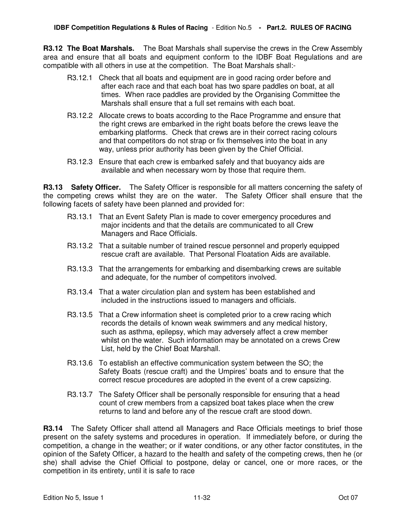**R3.12 The Boat Marshals.** The Boat Marshals shall supervise the crews in the Crew Assembly area and ensure that all boats and equipment conform to the IDBF Boat Regulations and are compatible with all others in use at the competition. The Boat Marshals shall:-

- R3.12.1 Check that all boats and equipment are in good racing order before and after each race and that each boat has two spare paddles on boat, at all times. When race paddles are provided by the Organising Committee the Marshals shall ensure that a full set remains with each boat.
- R3.12.2 Allocate crews to boats according to the Race Programme and ensure that the right crews are embarked in the right boats before the crews leave the embarking platforms. Check that crews are in their correct racing colours and that competitors do not strap or fix themselves into the boat in any way, unless prior authority has been given by the Chief Official.
- R3.12.3 Ensure that each crew is embarked safely and that buoyancy aids are available and when necessary worn by those that require them.

**R3.13 Safety Officer.** The Safety Officer is responsible for all matters concerning the safety of the competing crews whilst they are on the water. The Safety Officer shall ensure that the following facets of safety have been planned and provided for:

- R3.13.1 That an Event Safety Plan is made to cover emergency procedures and major incidents and that the details are communicated to all Crew Managers and Race Officials.
- R3.13.2 That a suitable number of trained rescue personnel and properly equipped rescue craft are available. That Personal Floatation Aids are available.
- R3.13.3 That the arrangements for embarking and disembarking crews are suitable and adequate, for the number of competitors involved.
- R3.13.4 That a water circulation plan and system has been established and included in the instructions issued to managers and officials.
- R3.13.5 That a Crew information sheet is completed prior to a crew racing which records the details of known weak swimmers and any medical history, such as asthma, epilepsy, which may adversely affect a crew member whilst on the water. Such information may be annotated on a crews Crew List, held by the Chief Boat Marshall.
- R3.13.6 To establish an effective communication system between the SO; the Safety Boats (rescue craft) and the Umpires' boats and to ensure that the correct rescue procedures are adopted in the event of a crew capsizing.
- R3.13.7 The Safety Officer shall be personally responsible for ensuring that a head count of crew members from a capsized boat takes place when the crew returns to land and before any of the rescue craft are stood down.

**R3.14** The Safety Officer shall attend all Managers and Race Officials meetings to brief those present on the safety systems and procedures in operation. If immediately before, or during the competition, a change in the weather; or if water conditions, or any other factor constitutes, in the opinion of the Safety Officer, a hazard to the health and safety of the competing crews, then he (or she) shall advise the Chief Official to postpone, delay or cancel, one or more races, or the competition in its entirety, until it is safe to race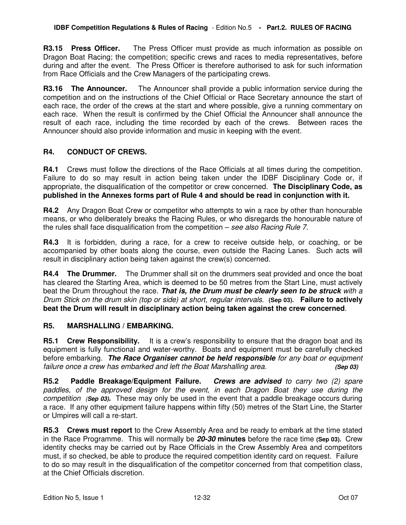**R3.15 Press Officer.** The Press Officer must provide as much information as possible on Dragon Boat Racing; the competition; specific crews and races to media representatives, before during and after the event. The Press Officer is therefore authorised to ask for such information from Race Officials and the Crew Managers of the participating crews.

**R3.16 The Announcer.** The Announcer shall provide a public information service during the competition and on the instructions of the Chief Official or Race Secretary announce the start of each race, the order of the crews at the start and where possible, give a running commentary on each race. When the result is confirmed by the Chief Official the Announcer shall announce the result of each race, including the time recorded by each of the crews. Between races the Announcer should also provide information and music in keeping with the event.

### **R4. CONDUCT OF CREWS.**

**R4.1** Crews must follow the directions of the Race Officials at all times during the competition. Failure to do so may result in action being taken under the IDBF Disciplinary Code or, if appropriate, the disqualification of the competitor or crew concerned. **The Disciplinary Code, as published in the Annexes forms part of Rule 4 and should be read in conjunction with it.** 

**R4.2** Any Dragon Boat Crew or competitor who attempts to win a race by other than honourable means, or who deliberately breaks the Racing Rules, or who disregards the honourable nature of the rules shall face disqualification from the competition  $-$  see also Racing Rule 7.

**R4.3** It is forbidden, during a race, for a crew to receive outside help, or coaching, or be accompanied by other boats along the course, even outside the Racing Lanes. Such acts will result in disciplinary action being taken against the crew(s) concerned.

**R4.4 The Drummer.** The Drummer shall sit on the drummers seat provided and once the boat has cleared the Starting Area, which is deemed to be 50 metres from the Start Line, must actively beat the Drum throughout the race. **That is, the Drum must be clearly seen to be struck** with a Drum Stick on the drum skin (top or side) at short, regular intervals. **(Sep 03). Failure to actively beat the Drum will result in disciplinary action being taken against the crew concerned**.

### **R5. MARSHALLING / EMBARKING.**

**R5.1 Crew Responsibility.** It is a crew's responsibility to ensure that the dragon boat and its equipment is fully functional and water-worthy. Boats and equipment must be carefully checked before embarking. **The Race Organiser cannot be held responsible** for any boat or equipment failure once a crew has embarked and left the Boat Marshalling area. **(Sep 03)**

**R5.2 Paddle Breakage/Equipment Failure. Crews are advised** to carry two (2) spare paddles, of the approved design for the event, in each Dragon Boat they use during the competition (**Sep 03).** These may only be used in the event that a paddle breakage occurs during a race. If any other equipment failure happens within fifty (50) metres of the Start Line, the Starter or Umpires will call a re-start.

**R5.3 Crews must report** to the Crew Assembly Area and be ready to embark at the time stated in the Race Programme. This will normally be **20-30 minutes** before the race time **(Sep 03).** Crew identity checks may be carried out by Race Officials in the Crew Assembly Area and competitors must, if so checked, be able to produce the required competition identity card on request. Failure to do so may result in the disqualification of the competitor concerned from that competition class, at the Chief Officials discretion.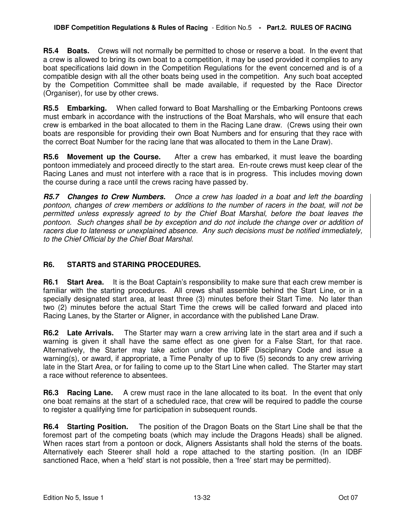**R5.4 Boats.** Crews will not normally be permitted to chose or reserve a boat. In the event that a crew is allowed to bring its own boat to a competition, it may be used provided it complies to any boat specifications laid down in the Competition Regulations for the event concerned and is of a compatible design with all the other boats being used in the competition. Any such boat accepted by the Competition Committee shall be made available, if requested by the Race Director (Organiser), for use by other crews.

**R5.5 Embarking.** When called forward to Boat Marshalling or the Embarking Pontoons crews must embark in accordance with the instructions of the Boat Marshals, who will ensure that each crew is embarked in the boat allocated to them in the Racing Lane draw. (Crews using their own boats are responsible for providing their own Boat Numbers and for ensuring that they race with the correct Boat Number for the racing lane that was allocated to them in the Lane Draw).

**R5.6 Movement up the Course.** After a crew has embarked, it must leave the boarding pontoon immediately and proceed directly to the start area. En-route crews must keep clear of the Racing Lanes and must not interfere with a race that is in progress. This includes moving down the course during a race until the crews racing have passed by.

**R5.7 Changes to Crew Numbers.** Once a crew has loaded in a boat and left the boarding pontoon, changes of crew members or additions to the number of racers in the boat, will not be permitted unless expressly agreed to by the Chief Boat Marshal, before the boat leaves the pontoon. Such changes shall be by exception and do not include the change over or addition of racers due to lateness or unexplained absence. Any such decisions must be notified immediately, to the Chief Official by the Chief Boat Marshal.

### **R6. STARTS and STARING PROCEDURES.**

**R6.1 Start Area.** It is the Boat Captain's responsibility to make sure that each crew member is familiar with the starting procedures. All crews shall assemble behind the Start Line, or in a specially designated start area, at least three (3) minutes before their Start Time. No later than two (2) minutes before the actual Start Time the crews will be called forward and placed into Racing Lanes, by the Starter or Aligner, in accordance with the published Lane Draw.

**R6.2 Late Arrivals.** The Starter may warn a crew arriving late in the start area and if such a warning is given it shall have the same effect as one given for a False Start, for that race. Alternatively, the Starter may take action under the IDBF Disciplinary Code and issue a warning(s), or award, if appropriate, a Time Penalty of up to five (5) seconds to any crew arriving late in the Start Area, or for failing to come up to the Start Line when called. The Starter may start a race without reference to absentees.

**R6.3 Racing Lane.** A crew must race in the lane allocated to its boat. In the event that only one boat remains at the start of a scheduled race, that crew will be required to paddle the course to register a qualifying time for participation in subsequent rounds.

**R6.4 Starting Position.** The position of the Dragon Boats on the Start Line shall be that the foremost part of the competing boats (which may include the Dragons Heads) shall be aligned. When races start from a pontoon or dock, Aligners Assistants shall hold the sterns of the boats. Alternatively each Steerer shall hold a rope attached to the starting position. (In an IDBF sanctioned Race, when a 'held' start is not possible, then a 'free' start may be permitted).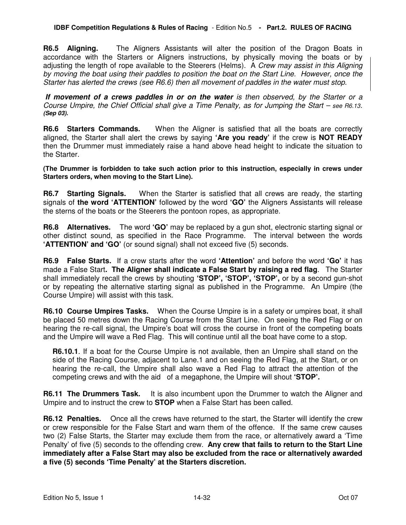#### **IDBF Competition Regulations & Rules of Racing** - Edition No.5 **- Part.2. RULES OF RACING**

**R6.5 Aligning.** The Aligners Assistants will alter the position of the Dragon Boats in accordance with the Starters or Aligners instructions, by physically moving the boats or by adjusting the length of rope available to the Steerers (Helms). A Crew may assist in this Aligning by moving the boat using their paddles to position the boat on the Start Line. However, once the Starter has alerted the crews (see R6.6) then all movement of paddles in the water must stop.

 **If movement of a crews paddles in or on the water** is then observed, by the Starter or a Course Umpire, the Chief Official shall give a Time Penalty, as for Jumping the Start – see R6.13. **(Sep 03).**

**R6.6 Starters Commands.** When the Aligner is satisfied that all the boats are correctly aligned, the Starter shall alert the crews by saying **'Are you ready'** if the crew is **NOT READY**  then the Drummer must immediately raise a hand above head height to indicate the situation to the Starter.

**(The Drummer is forbidden to take such action prior to this instruction, especially in crews under Starters orders, when moving to the Start Line).** 

**R6.7 Starting Signals.** When the Starter is satisfied that all crews are ready, the starting signals of **the word 'ATTENTION'** followed by the word **'GO'** the Aligners Assistants will release the sterns of the boats or the Steerers the pontoon ropes, as appropriate.

**R6.8 Alternatives.** The word **'GO'** may be replaced by a gun shot, electronic starting signal or other distinct sound, as specified in the Race Programme. The interval between the words **'ATTENTION' and 'GO'** (or sound signal) shall not exceed five (5) seconds.

**R6.9 False Starts.** If a crew starts after the word **'Attention'** and before the word **'Go'** it has made a False Start**. The Aligner shall indicate a False Start by raising a red flag**. The Starter shall immediately recall the crews by shouting **'STOP', 'STOP', 'STOP',** or by a second gun-shot or by repeating the alternative starting signal as published in the Programme. An Umpire (the Course Umpire) will assist with this task.

**R6.10 Course Umpires Tasks.** When the Course Umpire is in a safety or umpires boat, it shall be placed 50 metres down the Racing Course from the Start Line. On seeing the Red Flag or on hearing the re-call signal, the Umpire's boat will cross the course in front of the competing boats and the Umpire will wave a Red Flag. This will continue until all the boat have come to a stop.

**R6.10.1**. If a boat for the Course Umpire is not available, then an Umpire shall stand on the side of the Racing Course, adjacent to Lane.1 and on seeing the Red Flag, at the Start, or on hearing the re-call, the Umpire shall also wave a Red Flag to attract the attention of the competing crews and with the aid of a megaphone, the Umpire will shout **'STOP'.** 

**R6.11 The Drummers Task.** It is also incumbent upon the Drummer to watch the Aligner and Umpire and to instruct the crew to **STOP** when a False Start has been called.

**R6.12 Penalties.** Once all the crews have returned to the start, the Starter will identify the crew or crew responsible for the False Start and warn them of the offence. If the same crew causes two (2) False Starts, the Starter may exclude them from the race, or alternatively award a 'Time Penalty' of five (5) seconds to the offending crew. **Any crew that fails to return to the Start Line immediately after a False Start may also be excluded from the race or alternatively awarded a five (5) seconds 'Time Penalty' at the Starters discretion.**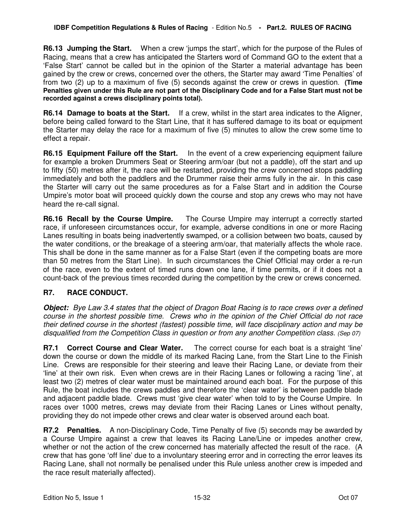**R6.13 Jumping the Start.** When a crew 'jumps the start', which for the purpose of the Rules of Racing, means that a crew has anticipated the Starters word of Command GO to the extent that a 'False Start' cannot be called but in the opinion of the Starter a material advantage has been gained by the crew or crews, concerned over the others, the Starter may award 'Time Penalties' of from two (2) up to a maximum of five (5) seconds against the crew or crews in question. **(Time Penalties given under this Rule are not part of the Disciplinary Code and for a False Start must not be recorded against a crews disciplinary points total).** 

**R6.14 Damage to boats at the Start.** If a crew, whilst in the start area indicates to the Aligner, before being called forward to the Start Line, that it has suffered damage to its boat or equipment the Starter may delay the race for a maximum of five (5) minutes to allow the crew some time to effect a repair.

**R6.15 Equipment Failure off the Start.** In the event of a crew experiencing equipment failure for example a broken Drummers Seat or Steering arm/oar (but not a paddle), off the start and up to fifty (50) metres after it, the race will be restarted, providing the crew concerned stops paddling immediately and both the paddlers and the Drummer raise their arms fully in the air. In this case the Starter will carry out the same procedures as for a False Start and in addition the Course Umpire's motor boat will proceed quickly down the course and stop any crews who may not have heard the re-call signal.

**R6.16 Recall by the Course Umpire.** The Course Umpire may interrupt a correctly started race, if unforeseen circumstances occur, for example, adverse conditions in one or more Racing Lanes resulting in boats being inadvertently swamped, or a collision between two boats, caused by the water conditions, or the breakage of a steering arm/oar, that materially affects the whole race. This shall be done in the same manner as for a False Start (even if the competing boats are more than 50 metres from the Start Line). In such circumstances the Chief Official may order a re-run of the race, even to the extent of timed runs down one lane, if time permits, or if it does not a count-back of the previous times recorded during the competition by the crew or crews concerned.

### **R7. RACE CONDUCT.**

**Object:** Bye Law 3.4 states that the object of Dragon Boat Racing is to race crews over a defined course in the shortest possible time. Crews who in the opinion of the Chief Official do not race their defined course in the shortest (fastest) possible time, will face disciplinary action and may be disqualified from the Competition Class in question or from any another Competition class. (Sep 07)

**R7.1 Correct Course and Clear Water.** The correct course for each boat is a straight 'line' down the course or down the middle of its marked Racing Lane, from the Start Line to the Finish Line. Crews are responsible for their steering and leave their Racing Lane, or deviate from their 'line' at their own risk. Even when crews are in their Racing Lanes or following a racing 'line', at least two (2) metres of clear water must be maintained around each boat. For the purpose of this Rule, the boat includes the crews paddles and therefore the 'clear water' is between paddle blade and adjacent paddle blade. Crews must 'give clear water' when told to by the Course Umpire. In races over 1000 metres, crews may deviate from their Racing Lanes or Lines without penalty, providing they do not impede other crews and clear water is observed around each boat.

**R7.2 Penalties.** A non-Disciplinary Code, Time Penalty of five (5) seconds may be awarded by a Course Umpire against a crew that leaves its Racing Lane/Line or impedes another crew, whether or not the action of the crew concerned has materially affected the result of the race. (A crew that has gone 'off line' due to a involuntary steering error and in correcting the error leaves its Racing Lane, shall not normally be penalised under this Rule unless another crew is impeded and the race result materially affected).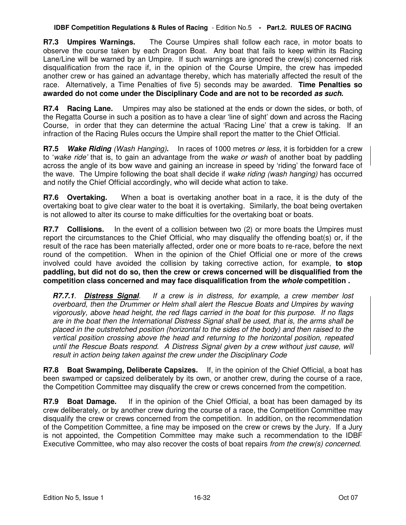**R7.3 Umpires Warnings.** The Course Umpires shall follow each race, in motor boats to observe the course taken by each Dragon Boat. Any boat that fails to keep within its Racing Lane/Line will be warned by an Umpire. If such warnings are ignored the crew(s) concerned risk disqualification from the race if, in the opinion of the Course Umpire, the crew has impeded another crew or has gained an advantage thereby, which has materially affected the result of the race. Alternatively, a Time Penalties of five 5) seconds may be awarded. **Time Penalties so awarded do not come under the Disciplinary Code and are not to be recorded as such.** 

**R7.4 Racing Lane.** Umpires may also be stationed at the ends or down the sides, or both, of the Regatta Course in such a position as to have a clear 'line of sight' down and across the Racing Course, in order that they can determine the actual 'Racing Line' that a crew is taking. If an infraction of the Racing Rules occurs the Umpire shall report the matter to the Chief Official.

**R7.5 Wake Riding** (Wash Hanging)**.** In races of 1000 metres or less, it is forbidden for a crew to 'wake ride' that is, to gain an advantage from the wake or wash of another boat by paddling across the angle of its bow wave and gaining an increase in speed by 'riding' the forward face of the wave. The Umpire following the boat shall decide if wake riding (wash hanging) has occurred and notify the Chief Official accordingly, who will decide what action to take.

**R7.6 Overtaking.** When a boat is overtaking another boat in a race, it is the duty of the overtaking boat to give clear water to the boat it is overtaking. Similarly, the boat being overtaken is not allowed to alter its course to make difficulties for the overtaking boat or boats.

**R7.7 Collisions.** In the event of a collision between two (2) or more boats the Umpires must report the circumstances to the Chief Official, who may disqualify the offending boat(s) or, if the result of the race has been materially affected, order one or more boats to re-race, before the next round of the competition. When in the opinion of the Chief Official one or more of the crews involved could have avoided the collision by taking corrective action, for example, **to stop paddling, but did not do so, then the crew or crews concerned will be disqualified from the competition class concerned and may face disqualification from the whole competition .** 

**R7.7.1**. **Distress Signal**. If a crew is in distress, for example, a crew member lost overboard, then the Drummer or Helm shall alert the Rescue Boats and Umpires by waving vigorously, above head height, the red flags carried in the boat for this purpose. If no flags are in the boat then the International Distress Signal shall be used, that is, the arms shall be placed in the outstretched position (horizontal to the sides of the body) and then raised to the vertical position crossing above the head and returning to the horizontal position, repeated until the Rescue Boats respond. A Distress Signal given by a crew without just cause, will result in action being taken against the crew under the Disciplinary Code

**R7.8 Boat Swamping, Deliberate Capsizes.** If, in the opinion of the Chief Official, a boat has been swamped or capsized deliberately by its own, or another crew, during the course of a race, the Competition Committee may disqualify the crew or crews concerned from the competition.

**R7.9 Boat Damage.** If in the opinion of the Chief Official, a boat has been damaged by its crew deliberately, or by another crew during the course of a race, the Competition Committee may disqualify the crew or crews concerned from the competition. In addition, on the recommendation of the Competition Committee, a fine may be imposed on the crew or crews by the Jury. If a Jury is not appointed, the Competition Committee may make such a recommendation to the IDBF Executive Committee, who may also recover the costs of boat repairs from the crew(s) concerned.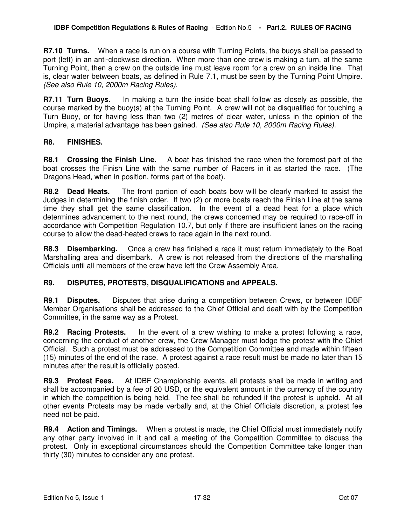**R7.10 Turns.** When a race is run on a course with Turning Points, the buoys shall be passed to port (left) in an anti-clockwise direction. When more than one crew is making a turn, at the same Turning Point, then a crew on the outside line must leave room for a crew on an inside line. That is, clear water between boats, as defined in Rule 7.1, must be seen by the Turning Point Umpire. (See also Rule 10, 2000m Racing Rules).

**R7.11 Turn Buoys.** In making a turn the inside boat shall follow as closely as possible, the course marked by the buoy(s) at the Turning Point. A crew will not be disqualified for touching a Turn Buoy, or for having less than two (2) metres of clear water, unless in the opinion of the Umpire, a material advantage has been gained. (See also Rule 10, 2000m Racing Rules).

### **R8. FINISHES.**

**R8.1 Crossing the Finish Line.** A boat has finished the race when the foremost part of the boat crosses the Finish Line with the same number of Racers in it as started the race. (The Dragons Head, when in position, forms part of the boat).

**R8.2 Dead Heats.** The front portion of each boats bow will be clearly marked to assist the Judges in determining the finish order. If two (2) or more boats reach the Finish Line at the same time they shall get the same classification. In the event of a dead heat for a place which determines advancement to the next round, the crews concerned may be required to race-off in accordance with Competition Regulation 10.7, but only if there are insufficient lanes on the racing course to allow the dead-heated crews to race again in the next round.

**R8.3 Disembarking.** Once a crew has finished a race it must return immediately to the Boat Marshalling area and disembark. A crew is not released from the directions of the marshalling Officials until all members of the crew have left the Crew Assembly Area.

### **R9. DISPUTES, PROTESTS, DISQUALIFICATIONS and APPEALS.**

**R9.1 Disputes.** Disputes that arise during a competition between Crews, or between IDBF Member Organisations shall be addressed to the Chief Official and dealt with by the Competition Committee, in the same way as a Protest.

**R9.2 Racing Protests.** In the event of a crew wishing to make a protest following a race, concerning the conduct of another crew, the Crew Manager must lodge the protest with the Chief Official. Such a protest must be addressed to the Competition Committee and made within fifteen (15) minutes of the end of the race. A protest against a race result must be made no later than 15 minutes after the result is officially posted.

**R9.3 Protest Fees.** At IDBF Championship events, all protests shall be made in writing and shall be accompanied by a fee of 20 USD, or the equivalent amount in the currency of the country in which the competition is being held. The fee shall be refunded if the protest is upheld. At all other events Protests may be made verbally and, at the Chief Officials discretion, a protest fee need not be paid.

**R9.4 Action and Timings.** When a protest is made, the Chief Official must immediately notify any other party involved in it and call a meeting of the Competition Committee to discuss the protest. Only in exceptional circumstances should the Competition Committee take longer than thirty (30) minutes to consider any one protest.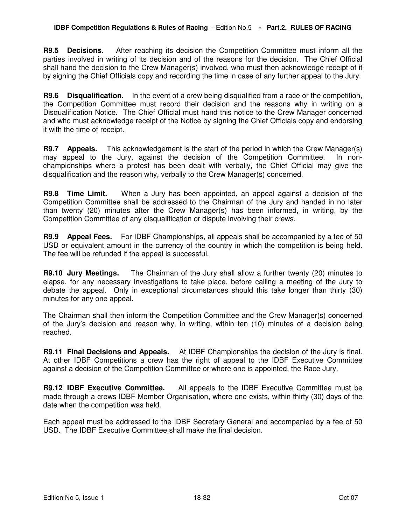**R9.5 Decisions.** After reaching its decision the Competition Committee must inform all the parties involved in writing of its decision and of the reasons for the decision. The Chief Official shall hand the decision to the Crew Manager(s) involved, who must then acknowledge receipt of it by signing the Chief Officials copy and recording the time in case of any further appeal to the Jury.

**R9.6 Disqualification.** In the event of a crew being disqualified from a race or the competition, the Competition Committee must record their decision and the reasons why in writing on a Disqualification Notice. The Chief Official must hand this notice to the Crew Manager concerned and who must acknowledge receipt of the Notice by signing the Chief Officials copy and endorsing it with the time of receipt.

**R9.7 Appeals.** This acknowledgement is the start of the period in which the Crew Manager(s) may appeal to the Jury, against the decision of the Competition Committee. In nonchampionships where a protest has been dealt with verbally, the Chief Official may give the disqualification and the reason why, verbally to the Crew Manager(s) concerned.

**R9.8 Time Limit.** When a Jury has been appointed, an appeal against a decision of the Competition Committee shall be addressed to the Chairman of the Jury and handed in no later than twenty (20) minutes after the Crew Manager(s) has been informed, in writing, by the Competition Committee of any disqualification or dispute involving their crews.

**R9.9 Appeal Fees.** For IDBF Championships, all appeals shall be accompanied by a fee of 50 USD or equivalent amount in the currency of the country in which the competition is being held. The fee will be refunded if the appeal is successful.

**R9.10 Jury Meetings.** The Chairman of the Jury shall allow a further twenty (20) minutes to elapse, for any necessary investigations to take place, before calling a meeting of the Jury to debate the appeal. Only in exceptional circumstances should this take longer than thirty (30) minutes for any one appeal.

The Chairman shall then inform the Competition Committee and the Crew Manager(s) concerned of the Jury's decision and reason why, in writing, within ten (10) minutes of a decision being reached.

**R9.11 Final Decisions and Appeals.** At IDBF Championships the decision of the Jury is final. At other IDBF Competitions a crew has the right of appeal to the IDBF Executive Committee against a decision of the Competition Committee or where one is appointed, the Race Jury.

**R9.12 IDBF Executive Committee.** All appeals to the IDBF Executive Committee must be made through a crews IDBF Member Organisation, where one exists, within thirty (30) days of the date when the competition was held.

Each appeal must be addressed to the IDBF Secretary General and accompanied by a fee of 50 USD. The IDBF Executive Committee shall make the final decision.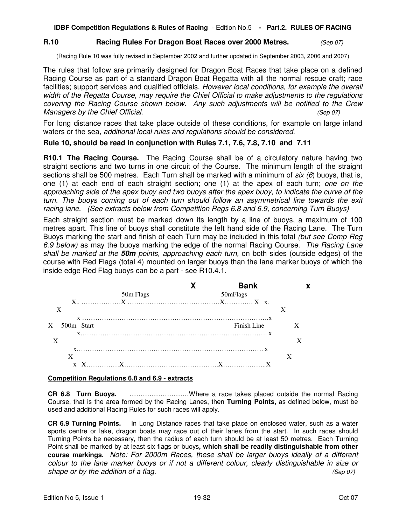**IDBF Competition Regulations & Rules of Racing** - Edition No.5 **- Part.2. RULES OF RACING** 

#### **R.10 Racing Rules For Dragon Boat Races over 2000 Metres.** (Sep 07)

(Racing Rule 10 was fully revised in September 2002 and further updated in September 2003, 2006 and 2007)

The rules that follow are primarily designed for Dragon Boat Races that take place on a defined Racing Course as part of a standard Dragon Boat Regatta with all the normal rescue craft; race facilities; support services and qualified officials. However local conditions, for example the overall width of the Regatta Course, may require the Chief Official to make adjustments to the regulations covering the Racing Course shown below. Any such adjustments will be notified to the Crew Managers by the Chief Official.  $(Sep 07)$ 

For long distance races that take place outside of these conditions, for example on large inland waters or the sea, additional local rules and regulations should be considered.

#### **Rule 10, should be read in conjunction with Rules 7.1, 7.6, 7.8, 7.10 and 7.11**

**R10.1 The Racing Course.** The Racing Course shall be of a circulatory nature having two straight sections and two turns in one circuit of the Course. The minimum length of the straight sections shall be 500 metres. Each Turn shall be marked with a minimum of  $six$  (6) buoys, that is, one (1) at each end of each straight section; one (1) at the apex of each turn; one on the approaching side of the apex buoy and two buoys after the apex buoy, to indicate the curve of the turn. The buoys coming out of each turn should follow an asymmetrical line towards the exit racing lane. (See extracts below from Competition Regs 6.8 and 6.9, concerning Turn Buoys)

Each straight section must be marked down its length by a line of buoys, a maximum of 100 metres apart. This line of buoys shall constitute the left hand side of the Racing Lane. The Turn Buoys marking the start and finish of each Turn may be included in this total (but see Comp Reg 6.9 below) as may the buoys marking the edge of the normal Racing Course. The Racing Lane shall be marked at the **50m** points, approaching each turn, on both sides (outside edges) of the course with Red Flags (total 4) mounted on larger buoys than the lane marker buoys of which the inside edge Red Flag buoys can be a part - see R10.4.1.



#### **Competition Regulations 6.8 and 6.9 - extracts**

**CR 6.8 Turn Buoys.** ………………………Where a race takes placed outside the normal Racing Course, that is the area formed by the Racing Lanes, then **Turning Points,** as defined below, must be used and additional Racing Rules for such races will apply.

**CR 6.9 Turning Points.** In Long Distance races that take place on enclosed water, such as a water sports centre or lake, dragon boats may race out of their lanes from the start. In such races should Turning Points be necessary, then the radius of each turn should be at least 50 metres. Each Turning Point shall be marked by at least six flags or buoys**, which shall be readily distinguishable from other course markings.** Note: For 2000m Races, these shall be larger buoys ideally of a different colour to the lane marker buoys or if not a different colour, clearly distinguishable in size or shape or by the addition of a flag.  $\mathcal{S}(\mathcal{S})$  is a set of  $\mathcal{S}(\mathcal{S})$  (Sep 07)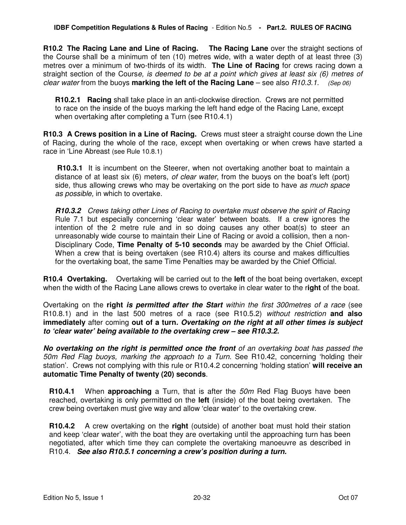**R10.2 The Racing Lane and Line of Racing. The Racing Lane** over the straight sections of the Course shall be a minimum of ten (10) metres wide, with a water depth of at least three (3) metres over a minimum of two-thirds of its width. **The Line of Racing** for crews racing down a straight section of the Course, is deemed to be at a point which gives at least six (6) metres of clear water from the buoys **marking the left of the Racing Lane** – see also R10.3.1. (Sep 06)

**R10.2.1 Racing** shall take place in an anti-clockwise direction. Crews are not permitted to race on the inside of the buoys marking the left hand edge of the Racing Lane, except when overtaking after completing a Turn (see R10.4.1)

**R10.3 A Crews position in a Line of Racing.** Crews must steer a straight course down the Line of Racing, during the whole of the race, except when overtaking or when crews have started a race in 'Line Abreast (see Rule 10.8.1)

**R10.3.1** It is incumbent on the Steerer, when not overtaking another boat to maintain a distance of at least six (6) meters, *of clear water*, from the buoys on the boat's left (port) side, thus allowing crews who may be overtaking on the port side to have as much space as possible, in which to overtake.

**R10.3.2** Crews taking other Lines of Racing to overtake must observe the spirit of Racing Rule 7.1 but especially concerning 'clear water' between boats. If a crew ignores the intention of the 2 metre rule and in so doing causes any other boat(s) to steer an unreasonably wide course to maintain their Line of Racing or avoid a collision, then a non-Disciplinary Code, **Time Penalty of 5-10 seconds** may be awarded by the Chief Official. When a crew that is being overtaken (see R10.4) alters its course and makes difficulties for the overtaking boat, the same Time Penalties may be awarded by the Chief Official.

**R10.4 Overtaking.** Overtaking will be carried out to the **left** of the boat being overtaken, except when the width of the Racing Lane allows crews to overtake in clear water to the r**ight** of the boat.

Overtaking on the **right is permitted after the Start** within the first 300metres of a race (see R10.8.1) and in the last 500 metres of a race (see R10.5.2) without restriction **and also immediately** after coming **out of a turn. Overtaking on the right at all other times is subject to 'clear water' being available to the overtaking crew – see R10.3.2.** 

**No overtaking on the right is permitted once the front** of an overtaking boat has passed the 50m Red Flag buoys, marking the approach to a Turn. See R10.42, concerning 'holding their station'. Crews not complying with this rule or R10.4.2 concerning 'holding station' **will receive an automatic Time Penalty of twenty (20) seconds**.

**R10.4.1** When **approaching** a Turn, that is after the 50m Red Flag Buoys have been reached, overtaking is only permitted on the **left** (inside) of the boat being overtaken. The crew being overtaken must give way and allow 'clear water' to the overtaking crew.

**R10.4.2** A crew overtaking on the **right** (outside) of another boat must hold their station and keep 'clear water', with the boat they are overtaking until the approaching turn has been negotiated, after which time they can complete the overtaking manoeuvre as described in R10.4. **See also R10.5.1 concerning a crew's position during a turn.**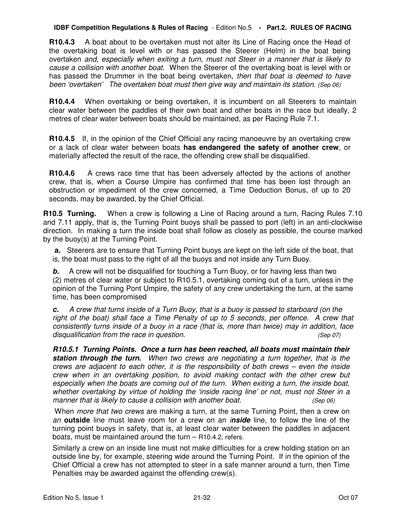#### **IDBF Competition Regulations & Rules of Racing** - Edition No.5 **- Part.2. RULES OF RACING**

**R10.4.3** A boat about to be overtaken must not alter its Line of Racing once the Head of the overtaking boat is level with or has passed the Steerer (Helm) in the boat being overtaken and, especially when exiting a turn, must not Steer in a manner that is likely to cause a collision with another boat. When the Steerer of the overtaking boat is level with or has passed the Drummer in the boat being overtaken, then that boat is deemed to have been 'overtaken' The overtaken boat must then give way and maintain its station. (Sep 06)

**R10.4.4** When overtaking or being overtaken, it is incumbent on all Steerers to maintain clear water between the paddles of their own boat and other boats in the race but ideally, 2 metres of clear water between boats should be maintained, as per Racing Rule 7.1.

**R10.4.5** If, in the opinion of the Chief Official any racing manoeuvre by an overtaking crew or a lack of clear water between boats **has endangered the safety of another crew**, or materially affected the result of the race, the offending crew shall be disqualified.

**R10.4.6** A crews race time that has been adversely affected by the actions of another crew, that is, when a Course Umpire has confirmed that time has been lost through an obstruction or impediment of the crew concerned, a Time Deduction Bonus, of up to 20 seconds, may be awarded, by the Chief Official.

**R10.5 Turning.** When a crew is following a Line of Racing around a turn, Racing Rules 7.10 and 7.11 apply, that is, the Turning Point buoys shall be passed to port (left) in an anti-clockwise direction. In making a turn the inside boat shall follow as closely as possible, the course marked by the buoy(s) at the Turning Point.

 **a.** Steerers are to ensure that Turning Point buoys are kept on the left side of the boat, that is, the boat must pass to the right of all the buoys and not inside any Turn Buoy.

**b.** A crew will not be disqualified for touching a Turn Buoy, or for having less than two (2) metres of clear water or subject to R10.5.1, overtaking coming out of a turn, unless in the opinion of the Turning Pont Umpire, the safety of any crew undertaking the turn, at the same time, has been compromised

**c.** A crew that turns inside of a Turn Buoy, that is a buoy is passed to starboard (on the right of the boat) shall face a Time Penalty of up to 5 seconds, per offence. A crew that consistently turns inside of a buoy in a race (that is, more than twice) may in addition, face disqualification from the race in question. The set of the set of the separation of the sep 07)

**R10.5.1 Turning Points. Once a turn has been reached, all boats must maintain their station through the turn.** When two crews are negotiating a turn together, that is the crews are adjacent to each other, it is the responsibility of both crews – even the inside crew when in an overtaking position, to avoid making contact with the other crew but especially when the boats are coming out of the turn. When exiting a turn, the inside boat, whether overtaking by virtue of holding the 'inside racing line' or not, must not Steer in a manner that is likely to cause a collision with another boat. (Sep 06)

When *more that two crews* are making a turn, at the same Turning Point, then a crew on an **outside** line must leave room for a crew on an i**nside** line, to follow the line of the turning point buoys in safety, that is, at least clear water between the paddles in adjacent boats, must be maintained around the turn – R10.4.2, refers.

Similarly a crew on an inside line must not make difficulties for a crew holding station on an outside line by, for example, steering wide around the Turning Point. If in the opinion of the Chief Official a crew has not attempted to steer in a safe manner around a turn, then Time Penalties may be awarded against the offending crew(s).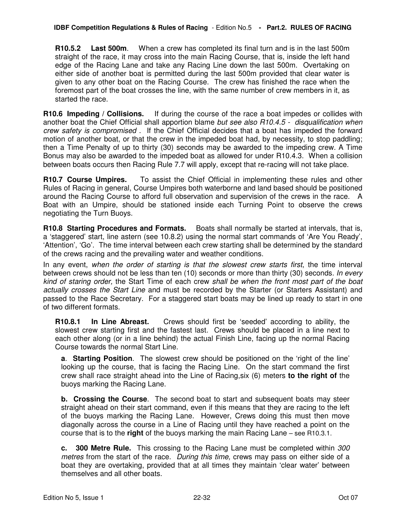**R10.5.2 Last 500m**. When a crew has completed its final turn and is in the last 500m straight of the race, it may cross into the main Racing Course, that is, inside the left hand edge of the Racing Lane and take any Racing Line down the last 500m. Overtaking on either side of another boat is permitted during the last 500m provided that clear water is given to any other boat on the Racing Course. The crew has finished the race when the foremost part of the boat crosses the line, with the same number of crew members in it, as started the race.

**R10.6 Impeding / Collisions.** If during the course of the race a boat impedes or collides with another boat the Chief Official shall apportion blame but see also R10.4.5 - disqualification when crew safety is compromised . If the Chief Official decides that a boat has impeded the forward motion of another boat, or that the crew in the impeded boat had, by necessity, to stop paddling; then a Time Penalty of up to thirty (30) seconds may be awarded to the impeding crew. A Time Bonus may also be awarded to the impeded boat as allowed for under R10.4.3. When a collision between boats occurs then Racing Rule 7.7 will apply, except that re-racing will not take place.

**R10.7 Course Umpires.** To assist the Chief Official in implementing these rules and other Rules of Racing in general, Course Umpires both waterborne and land based should be positioned around the Racing Course to afford full observation and supervision of the crews in the race. A Boat with an Umpire, should be stationed inside each Turning Point to observe the crews negotiating the Turn Buoys.

**R10.8 Starting Procedures and Formats.** Boats shall normally be started at intervals, that is, a 'staggered' start, line astern (see 10.8.2) using the normal start commands of 'Are You Ready', 'Attention', 'Go'. The time interval between each crew starting shall be determined by the standard of the crews racing and the prevailing water and weather conditions.

In any event, when the order of starting is that the slowest crew starts first, the time interval between crews should not be less than ten (10) seconds or more than thirty (30) seconds. In every kind of staring order, the Start Time of each crew shall be when the front most part of the boat actually crosses the Start Line and must be recorded by the Starter (or Starters Assistant) and passed to the Race Secretary. For a staggered start boats may be lined up ready to start in one of two different formats.

**R10.8.1 In Line Abreast.** Crews should first be 'seeded' according to ability, the slowest crew starting first and the fastest last. Crews should be placed in a line next to each other along (or in a line behind) the actual Finish Line, facing up the normal Racing Course towards the normal Start Line.

**a**. **Starting Position**. The slowest crew should be positioned on the 'right of the line' looking up the course, that is facing the Racing Line. On the start command the first crew shall race straight ahead into the Line of Racing,six (6) meters **to the right of** the buoys marking the Racing Lane.

**b. Crossing the Course**. The second boat to start and subsequent boats may steer straight ahead on their start command, even if this means that they are racing to the left of the buoys marking the Racing Lane. However, Crews doing this must then move diagonally across the course in a Line of Racing until they have reached a point on the course that is to the **right** of the buoys marking the main Racing Lane – see R10.3.1.

**c. 300 Metre Rule.** This crossing to the Racing Lane must be completed within 300 metres from the start of the race. During this time, crews may pass on either side of a boat they are overtaking, provided that at all times they maintain 'clear water' between themselves and all other boats.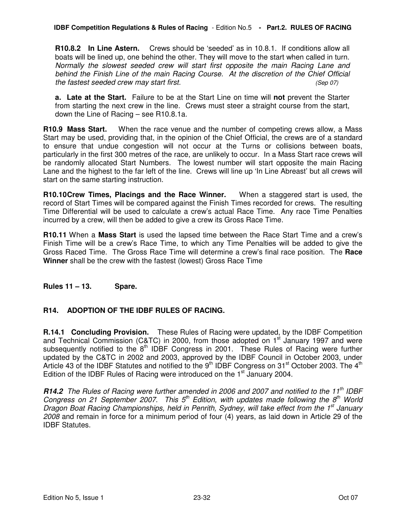**R10.8.2 In Line Astern.** Crews should be 'seeded' as in 10.8.1. If conditions allow all boats will be lined up, one behind the other. They will move to the start when called in turn. Normally the slowest seeded crew will start first opposite the main Racing Lane and behind the Finish Line of the main Racing Course. At the discretion of the Chief Official the fastest seeded crew may start first.  $($ Sep 07)

**a. Late at the Start.** Failure to be at the Start Line on time will **not** prevent the Starter from starting the next crew in the line. Crews must steer a straight course from the start, down the Line of Racing – see R10.8.1a.

**R10.9 Mass Start.** When the race venue and the number of competing crews allow, a Mass Start may be used, providing that, in the opinion of the Chief Official, the crews are of a standard to ensure that undue congestion will not occur at the Turns or collisions between boats, particularly in the first 300 metres of the race, are unlikely to occur. In a Mass Start race crews will be randomly allocated Start Numbers. The lowest number will start opposite the main Racing Lane and the highest to the far left of the line. Crews will line up 'In Line Abreast' but all crews will start on the same starting instruction.

**R10.10 Crew Times, Placings and the Race Winner.** When a staggered start is used, the record of Start Times will be compared against the Finish Times recorded for crews. The resulting Time Differential will be used to calculate a crew's actual Race Time. Any race Time Penalties incurred by a crew, will then be added to give a crew its Gross Race Time.

**R10.11** When a **Mass Start** is used the lapsed time between the Race Start Time and a crew's Finish Time will be a crew's Race Time, to which any Time Penalties will be added to give the Gross Raced Time. The Gross Race Time will determine a crew's final race position. The **Race Winner** shall be the crew with the fastest (lowest) Gross Race Time

### **Rules 11 – 13. Spare.**

### **R14. ADOPTION OF THE IDBF RULES OF RACING.**

**R.14.1 Concluding Provision.** These Rules of Racing were updated, by the IDBF Competition and Technical Commission (C&TC) in 2000, from those adopted on 1<sup>st</sup> January 1997 and were subsequently notified to the  $8<sup>th</sup>$  IDBF Congress in 2001. These Rules of Racing were further updated by the C&TC in 2002 and 2003, approved by the IDBF Council in October 2003, under Article 43 of the IDBF Statutes and notified to the 9<sup>th</sup> IDBF Congress on 31<sup>st</sup> October 2003. The 4<sup>th</sup> Edition of the IDBF Rules of Racing were introduced on the 1<sup>st</sup> January 2004.

**R14.2** The Rules of Racing were further amended in 2006 and 2007 and notified to the 11<sup>th</sup> IDBF Congress on 21 September 2007. This  $5<sup>th</sup>$  Edition, with updates made following the  $8<sup>th</sup>$  World Dragon Boat Racing Championships, held in Penrith, Sydney, will take effect from the 1<sup>st</sup> January 2008 and remain in force for a minimum period of four (4) years, as laid down in Article 29 of the IDBF Statutes.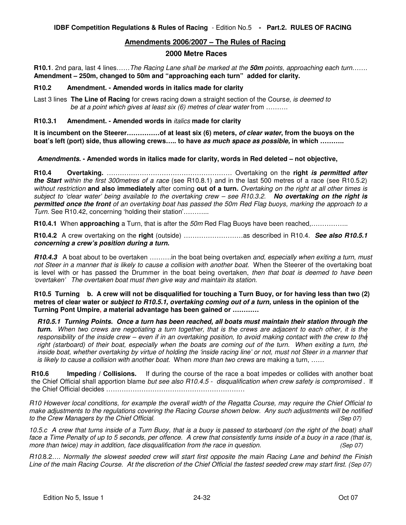#### **Amendments 2006/2007 – The Rules of Racing**

#### **2000 Metre Races**

**R10.1**. 2nd para, last 4 lines……The Racing Lane shall be marked at the **50m** points, approaching each turn……. **Amendment – 250m, changed to 50m and "approaching each turn" added for clarity.** 

#### **R10.2 Amendment. - Amended words in italics made for clarity**

Last 3 lines **The Line of Racing** for crews racing down a straight section of the Course, is deemed to be at a point which gives at least six (6) metres of clear water from ……….

**R10.3.1 Amendment. - Amended words in** italics **made for clarity** 

**It is incumbent on the Steerer……………of at least six (6) meters, of clear water, from the buoys on the boat's left (port) side, thus allowing crews….. to have as much space as possible, in which ………..** 

**Amendments. - Amended words in italics made for clarity, words in Red deleted – not objective,** 

**R10.4 Overtaking.** ………………………………………………… Overtaking on the **right is permitted after the Start** within the first 300metres of a race (see R10.8.1) and in the last 500 metres of a race (see R10.5.2) without restriction **and also immediately** after coming **out of a turn.** Overtaking on the right at all other times is subject to 'clear water' being available to the overtaking crew – see R10.3.2. **No overtaking on the right is permitted once the front** of an overtaking boat has passed the 50m Red Flag buoys, marking the approach to a Turn. See R10.42, concerning 'holding their station'………...

**R10.4.1** When **approaching** a Turn, that is after the 50m Red Flag Buoys have been reached,……………..

**R10.4.2** A crew overtaking on the **right** (outside) ………………………as described in R10.4. **See also R10.5.1 concerning a crew's position during a turn.** 

**R10.4.3** A boat about to be overtaken ……….in the boat being overtaken and, especially when exiting a turn, must not Steer in a manner that is likely to cause a collision with another boat. When the Steerer of the overtaking boat is level with or has passed the Drummer in the boat being overtaken, then that boat is deemed to have been 'overtaken' The overtaken boat must then give way and maintain its station.

**R10.5 Turning b. A crew will not be disqualified for touching a Turn Buoy, or for having less than two (2) metres of clear water or subject to R10.5.1, overtaking coming out of a turn, unless in the opinion of the Turning Pont Umpire, a material advantage has been gained or …………**

**R10.5.1 Turning Points. Once a turn has been reached, all boats must maintain their station through the turn.** When two crews are negotiating a turn together, that is the crews are adjacent to each other, it is the responsibility of the inside crew – even if in an overtaking position, to avoid making contact with the crew to the right (starboard) of their boat, especially when the boats are coming out of the turn. When exiting a turn, the inside boat, whether overtaking by virtue of holding the 'inside racing line' or not, must not Steer in a manner that is likely to cause a collision with another boat. When more than two crews are making a turn, ......

**R10.6 Impeding / Collisions.** If during the course of the race a boat impedes or collides with another boat the Chief Official shall apportion blame but see also R10.4.5 - disqualification when crew safety is compromised. If the Chief Official decides ………………………………………………………

R10 However local conditions, for example the overall width of the Regatta Course, may require the Chief Official to make adjustments to the regulations covering the Racing Course shown below. Any such adjustments will be notified to the Crew Managers by the Chief Official.  $($ Sep 07)

10.5.c A crew that turns inside of a Turn Buoy, that is a buoy is passed to starboard (on the right of the boat) shall face a Time Penalty of up to 5 seconds, per offence. A crew that consistently turns inside of a buoy in a race (that is, more than twice) may in addition, face disqualification from the race in question. (Sep 07) (Sep 07)

R10.8.2…. Normally the slowest seeded crew will start first opposite the main Racing Lane and behind the Finish Line of the main Racing Course. At the discretion of the Chief Official the fastest seeded crew may start first. (Sep 07)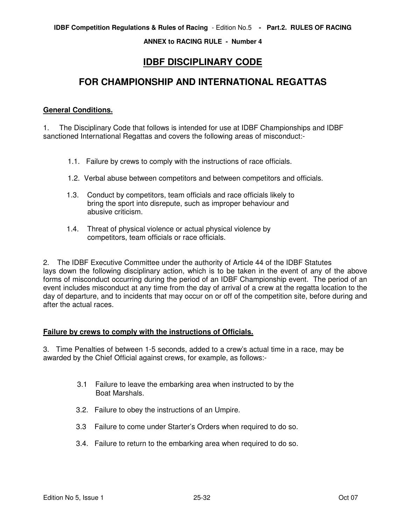**ANNEX to RACING RULE - Number 4** 

# **IDBF DISCIPLINARY CODE**

# **FOR CHAMPIONSHIP AND INTERNATIONAL REGATTAS**

#### **General Conditions.**

1. The Disciplinary Code that follows is intended for use at IDBF Championships and IDBF sanctioned International Regattas and covers the following areas of misconduct:-

- 1.1. Failure by crews to comply with the instructions of race officials.
- 1.2. Verbal abuse between competitors and between competitors and officials.
- 1.3. Conduct by competitors, team officials and race officials likely to bring the sport into disrepute, such as improper behaviour and abusive criticism.
- 1.4. Threat of physical violence or actual physical violence by competitors, team officials or race officials.

2. The IDBF Executive Committee under the authority of Article 44 of the IDBF Statutes lays down the following disciplinary action, which is to be taken in the event of any of the above forms of misconduct occurring during the period of an IDBF Championship event. The period of an event includes misconduct at any time from the day of arrival of a crew at the regatta location to the day of departure, and to incidents that may occur on or off of the competition site, before during and after the actual races.

#### **Failure by crews to comply with the instructions of Officials.**

3. Time Penalties of between 1-5 seconds, added to a crew's actual time in a race, may be awarded by the Chief Official against crews, for example, as follows:-

- 3.1 Failure to leave the embarking area when instructed to by the Boat Marshals.
- 3.2. Failure to obey the instructions of an Umpire.
- 3.3 Failure to come under Starter's Orders when required to do so.
- 3.4. Failure to return to the embarking area when required to do so.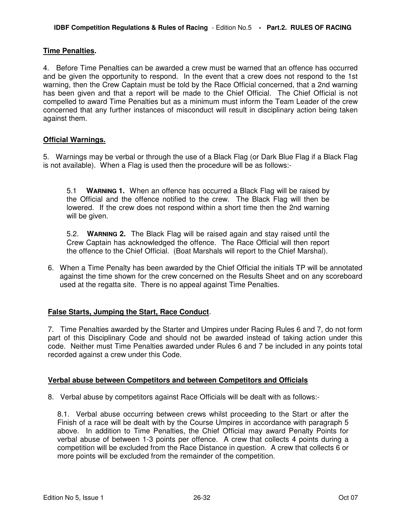#### **Time Penalties.**

4. Before Time Penalties can be awarded a crew must be warned that an offence has occurred and be given the opportunity to respond. In the event that a crew does not respond to the 1st warning, then the Crew Captain must be told by the Race Official concerned, that a 2nd warning has been given and that a report will be made to the Chief Official. The Chief Official is not compelled to award Time Penalties but as a minimum must inform the Team Leader of the crew concerned that any further instances of misconduct will result in disciplinary action being taken against them.

### **Official Warnings.**

5. Warnings may be verbal or through the use of a Black Flag (or Dark Blue Flag if a Black Flag is not available). When a Flag is used then the procedure will be as follows:-

5.1 **WARNING 1.** When an offence has occurred a Black Flag will be raised by the Official and the offence notified to the crew. The Black Flag will then be lowered. If the crew does not respond within a short time then the 2nd warning will be given.

5.2. **WARNING 2.** The Black Flag will be raised again and stay raised until the Crew Captain has acknowledged the offence. The Race Official will then report the offence to the Chief Official. (Boat Marshals will report to the Chief Marshal).

6. When a Time Penalty has been awarded by the Chief Official the initials TP will be annotated against the time shown for the crew concerned on the Results Sheet and on any scoreboard used at the regatta site. There is no appeal against Time Penalties.

#### **False Starts, Jumping the Start, Race Conduct**.

7. Time Penalties awarded by the Starter and Umpires under Racing Rules 6 and 7, do not form part of this Disciplinary Code and should not be awarded instead of taking action under this code. Neither must Time Penalties awarded under Rules 6 and 7 be included in any points total recorded against a crew under this Code.

#### **Verbal abuse between Competitors and between Competitors and Officials**

8. Verbal abuse by competitors against Race Officials will be dealt with as follows:-

8.1. Verbal abuse occurring between crews whilst proceeding to the Start or after the Finish of a race will be dealt with by the Course Umpires in accordance with paragraph 5 above. In addition to Time Penalties, the Chief Official may award Penalty Points for verbal abuse of between 1-3 points per offence. A crew that collects 4 points during a competition will be excluded from the Race Distance in question. A crew that collects 6 or more points will be excluded from the remainder of the competition.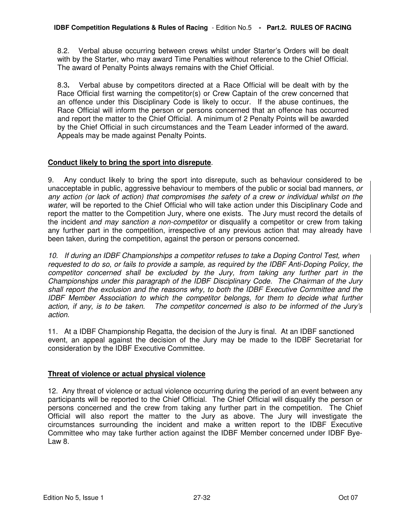8.2. Verbal abuse occurring between crews whilst under Starter's Orders will be dealt with by the Starter, who may award Time Penalties without reference to the Chief Official. The award of Penalty Points always remains with the Chief Official.

8.3**.** Verbal abuse by competitors directed at a Race Official will be dealt with by the Race Official first warning the competitor(s) or Crew Captain of the crew concerned that an offence under this Disciplinary Code is likely to occur. If the abuse continues, the Race Official will inform the person or persons concerned that an offence has occurred and report the matter to the Chief Official. A minimum of 2 Penalty Points will be awarded by the Chief Official in such circumstances and the Team Leader informed of the award. Appeals may be made against Penalty Points.

### **Conduct likely to bring the sport into disrepute**.

9. Any conduct likely to bring the sport into disrepute, such as behaviour considered to be unacceptable in public, aggressive behaviour to members of the public or social bad manners, or any action (or lack of action) that compromises the safety of a crew or individual whilst on the water, will be reported to the Chief Official who will take action under this Disciplinary Code and report the matter to the Competition Jury, where one exists. The Jury must record the details of the incident and may sanction a non-competitor or disqualify a competitor or crew from taking any further part in the competition, irrespective of any previous action that may already have been taken, during the competition, against the person or persons concerned.

10. If during an IDBF Championships a competitor refuses to take a Doping Control Test, when requested to do so, or fails to provide a sample, as required by the IDBF Anti-Doping Policy, the competitor concerned shall be excluded by the Jury, from taking any further part in the Championships under this paragraph of the IDBF Disciplinary Code. The Chairman of the Jury shall report the exclusion and the reasons why, to both the IDBF Executive Committee and the IDBF Member Association to which the competitor belongs, for them to decide what further action, if any, is to be taken. The competitor concerned is also to be informed of the Jury's action.

11. At a IDBF Championship Regatta, the decision of the Jury is final. At an IDBF sanctioned event, an appeal against the decision of the Jury may be made to the IDBF Secretariat for consideration by the IDBF Executive Committee.

#### **Threat of violence or actual physical violence**

12. Any threat of violence or actual violence occurring during the period of an event between any participants will be reported to the Chief Official. The Chief Official will disqualify the person or persons concerned and the crew from taking any further part in the competition. The Chief Official will also report the matter to the Jury as above. The Jury will investigate the circumstances surrounding the incident and make a written report to the IDBF Executive Committee who may take further action against the IDBF Member concerned under IDBF Bye-Law 8.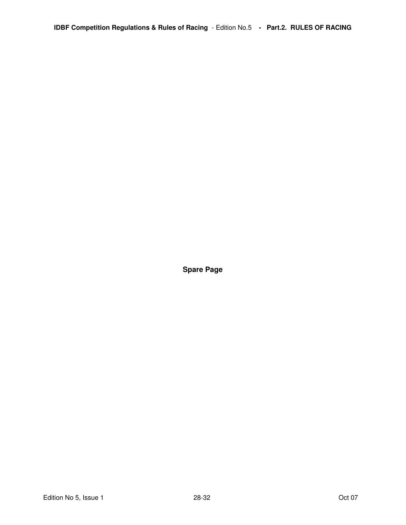**Spare Page**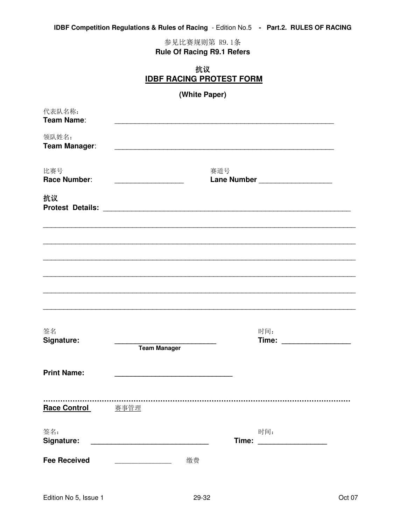参见比赛规则第 R9.1条 **Rule Of Racing R9.1 Refers** 

|                        |                                                                                                                      | 抗议<br><b>IDBF RACING PROTEST FORM</b> |                                   |                                                                                                                                                                                                                                     |
|------------------------|----------------------------------------------------------------------------------------------------------------------|---------------------------------------|-----------------------------------|-------------------------------------------------------------------------------------------------------------------------------------------------------------------------------------------------------------------------------------|
|                        |                                                                                                                      | (White Paper)                         |                                   |                                                                                                                                                                                                                                     |
| 代表队名称:<br>Team Name:   |                                                                                                                      |                                       |                                   |                                                                                                                                                                                                                                     |
| 领队姓名:<br>Team Manager: | <u> 1980 - Johann John Stone, mars eta bainar eta bainar eta baina eta baina eta baina eta baina eta baina eta b</u> |                                       |                                   |                                                                                                                                                                                                                                     |
| 比赛号<br>Race Number:    | the control of the control of the                                                                                    | 赛道号                                   | Lane Number _____________________ |                                                                                                                                                                                                                                     |
| 抗议                     |                                                                                                                      |                                       |                                   |                                                                                                                                                                                                                                     |
|                        |                                                                                                                      |                                       |                                   |                                                                                                                                                                                                                                     |
|                        |                                                                                                                      |                                       |                                   |                                                                                                                                                                                                                                     |
|                        |                                                                                                                      |                                       |                                   |                                                                                                                                                                                                                                     |
|                        |                                                                                                                      |                                       |                                   |                                                                                                                                                                                                                                     |
|                        |                                                                                                                      |                                       |                                   |                                                                                                                                                                                                                                     |
| 签名<br>Signature:       | <b>Team Manager</b>                                                                                                  |                                       | 时间:                               | <b>Time:</b> The contract of the contract of the contract of the contract of the contract of the contract of the contract of the contract of the contract of the contract of the contract of the contract of the contract of the co |
| <b>Print Name:</b>     |                                                                                                                      |                                       |                                   |                                                                                                                                                                                                                                     |
| Race Control 赛事管理      |                                                                                                                      |                                       |                                   |                                                                                                                                                                                                                                     |
| 签名:<br>Signature:      |                                                                                                                      |                                       | 时间:<br>Time:                      |                                                                                                                                                                                                                                     |
| <b>Fee Received</b>    |                                                                                                                      | 缴费                                    |                                   |                                                                                                                                                                                                                                     |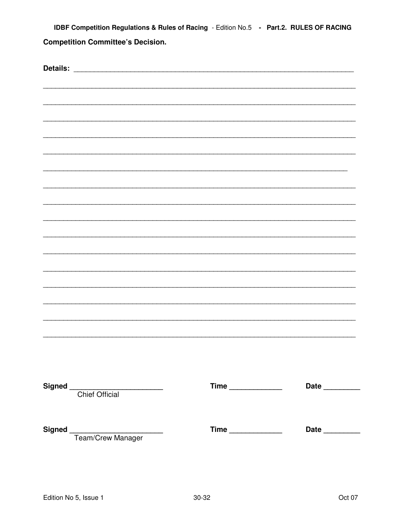IDBF Competition Regulations & Rules of Racing - Edition No.5 - Part.2. RULES OF RACING **Competition Committee's Decision.** 

| Details: |                             |      |      |
|----------|-----------------------------|------|------|
|          |                             |      |      |
|          |                             |      |      |
|          |                             |      |      |
|          |                             |      |      |
|          |                             |      |      |
|          |                             |      |      |
|          |                             |      |      |
|          |                             |      |      |
|          |                             |      |      |
|          |                             |      |      |
|          |                             |      |      |
|          |                             |      |      |
|          |                             |      |      |
|          |                             |      |      |
|          |                             |      |      |
|          |                             |      |      |
|          |                             |      |      |
|          |                             |      |      |
|          |                             |      |      |
|          |                             |      |      |
|          |                             |      |      |
|          |                             |      |      |
|          |                             |      |      |
|          |                             | Time | Date |
|          | Signed<br>Chief Official    |      |      |
|          |                             |      |      |
|          |                             |      |      |
|          | Signed<br>Team/Crew Manager |      | Date |
|          |                             |      |      |
|          |                             |      |      |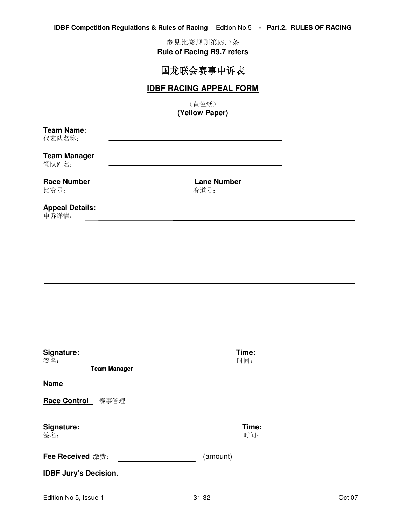**IDBF Competition Regulations & Rules of Racing** - Edition No.5 **- Part.2. RULES OF RACING** 

参见比赛规则第R9.7条 **Rule of Racing R9.7 refers** 

# 国龙联会赛事申诉表

### **IDBF RACING APPEAL FORM**

(黄色纸) **(Yellow Paper)** 

| Team Name:<br>代表队名称:                                             |                            |  |
|------------------------------------------------------------------|----------------------------|--|
| <b>Team Manager</b><br>领队姓名:                                     |                            |  |
| <b>Race Number</b><br>比赛号:                                       | <b>Lane Number</b><br>赛道号: |  |
| <b>Appeal Details:</b><br>申诉详情:                                  |                            |  |
|                                                                  |                            |  |
|                                                                  |                            |  |
|                                                                  |                            |  |
|                                                                  |                            |  |
| Signature:<br>签名:<br><b>Team Manager</b>                         | Time:                      |  |
| <u> 1989 - Johann Barbara, martxa alemaniar a</u><br><b>Name</b> |                            |  |
| Race Control 赛事管理                                                |                            |  |
| Signature:<br>签名:                                                | Time:<br>时间:               |  |
| Fee Received 缴费:                                                 | (amount)                   |  |
| <b>IDBF Jury's Decision.</b>                                     |                            |  |